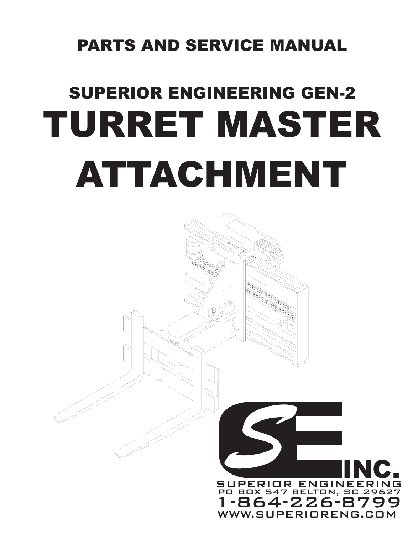# PARTS AND SERVICE MANUAL

# TURRET MASTER ATTACHMENT SUPERIOR ENGINEERING GEN-2

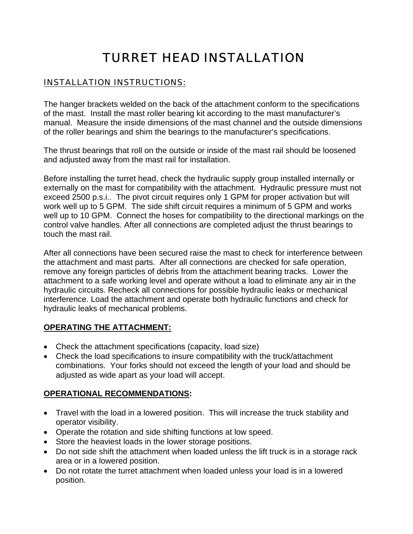#### TURRET HEAD INSTALLATION

#### INSTALLATION INSTRUCTIONS:

The hanger brackets welded on the back of the attachment conform to the specifications of the mast. Install the mast roller bearing kit according to the mast manufacturer's manual. Measure the inside dimensions of the mast channel and the outside dimensions of the roller bearings and shim the bearings to the manufacturer's specifications.

The thrust bearings that roll on the outside or inside of the mast rail should be loosened and adjusted away from the mast rail for installation.

Before installing the turret head, check the hydraulic supply group installed internally or externally on the mast for compatibility with the attachment. Hydraulic pressure must not exceed 2500 p.s.i.. The pivot circuit requires only 1 GPM for proper activation but will work well up to 5 GPM. The side shift circuit requires a minimum of 5 GPM and works well up to 10 GPM. Connect the hoses for compatibility to the directional markings on the control valve handles. After all connections are completed adjust the thrust bearings to touch the mast rail.

After all connections have been secured raise the mast to check for interference between the attachment and mast parts. After all connections are checked for safe operation, remove any foreign particles of debris from the attachment bearing tracks. Lower the attachment to a safe working level and operate without a load to eliminate any air in the hydraulic circuits. Recheck all connections for possible hydraulic leaks or mechanical interference. Load the attachment and operate both hydraulic functions and check for hydraulic leaks of mechanical problems.

#### **OPERATING THE ATTACHMENT:**

- Check the attachment specifications (capacity, load size)
- Check the load specifications to insure compatibility with the truck/attachment combinations. Your forks should not exceed the length of your load and should be adjusted as wide apart as your load will accept.

#### **OPERATIONAL RECOMMENDATIONS:**

- Travel with the load in a lowered position. This will increase the truck stability and operator visibility.
- Operate the rotation and side shifting functions at low speed.
- Store the heaviest loads in the lower storage positions.
- Do not side shift the attachment when loaded unless the lift truck is in a storage rack area or in a lowered position.
- Do not rotate the turret attachment when loaded unless your load is in a lowered position.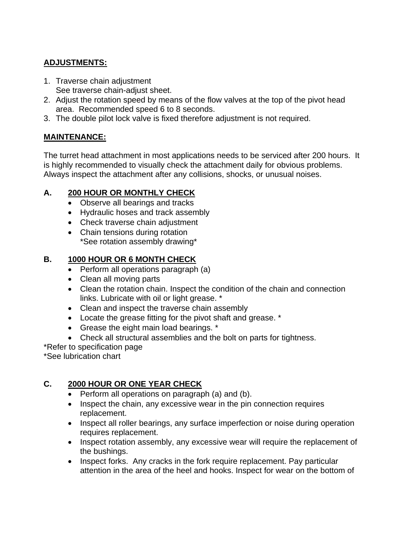#### **ADJUSTMENTS:**

- 1. Traverse chain adjustment See traverse chain-adjust sheet.
- 2. Adjust the rotation speed by means of the flow valves at the top of the pivot head area. Recommended speed 6 to 8 seconds.
- 3. The double pilot lock valve is fixed therefore adjustment is not required.

#### **MAINTENANCE:**

The turret head attachment in most applications needs to be serviced after 200 hours. It is highly recommended to visually check the attachment daily for obvious problems. Always inspect the attachment after any collisions, shocks, or unusual noises.

#### **A. 200 HOUR OR MONTHLY CHECK**

- Observe all bearings and tracks
- Hydraulic hoses and track assembly
- Check traverse chain adjustment
- Chain tensions during rotation \*See rotation assembly drawing\*

#### **B. 1000 HOUR OR 6 MONTH CHECK**

- Perform all operations paragraph (a)
- Clean all moving parts
- Clean the rotation chain. Inspect the condition of the chain and connection links. Lubricate with oil or light grease. \*
- Clean and inspect the traverse chain assembly
- Locate the grease fitting for the pivot shaft and grease. \*
- Grease the eight main load bearings. \*
- Check all structural assemblies and the bolt on parts for tightness.

\*Refer to specification page

\*See lubrication chart

#### **C. 2000 HOUR OR ONE YEAR CHECK**

- Perform all operations on paragraph (a) and (b).
- Inspect the chain, any excessive wear in the pin connection requires replacement.
- Inspect all roller bearings, any surface imperfection or noise during operation requires replacement.
- Inspect rotation assembly, any excessive wear will require the replacement of the bushings.
- Inspect forks. Any cracks in the fork require replacement. Pay particular attention in the area of the heel and hooks. Inspect for wear on the bottom of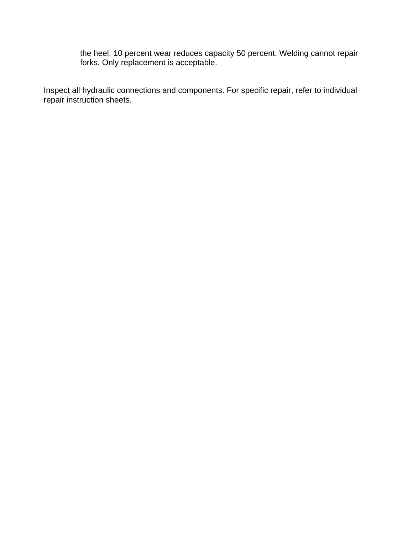the heel. 10 percent wear reduces capacity 50 percent. Welding cannot repair forks. Only replacement is acceptable.

Inspect all hydraulic connections and components. For specific repair, refer to individual repair instruction sheets.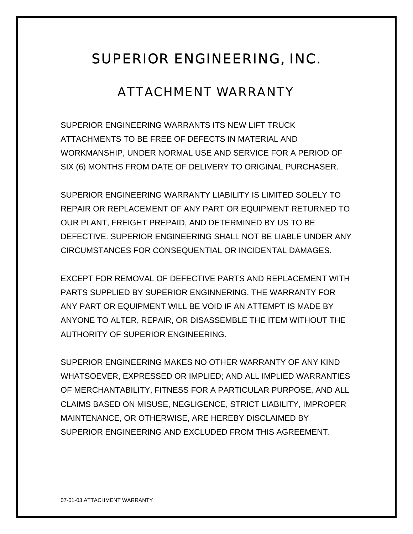#### SUPERIOR ENGINEERING, INC.

#### ATTACHMENT WARRANTY

SUPERIOR ENGINEERING WARRANTS ITS NEW LIFT TRUCK ATTACHMENTS TO BE FREE OF DEFECTS IN MATERIAL AND WORKMANSHIP, UNDER NORMAL USE AND SERVICE FOR A PERIOD OF SIX (6) MONTHS FROM DATE OF DELIVERY TO ORIGINAL PURCHASER.

SUPERIOR ENGINEERING WARRANTY LIABILITY IS LIMITED SOLELY TO REPAIR OR REPLACEMENT OF ANY PART OR EQUIPMENT RETURNED TO OUR PLANT, FREIGHT PREPAID, AND DETERMINED BY US TO BE DEFECTIVE. SUPERIOR ENGINEERING SHALL NOT BE LIABLE UNDER ANY CIRCUMSTANCES FOR CONSEQUENTIAL OR INCIDENTAL DAMAGES.

EXCEPT FOR REMOVAL OF DEFECTIVE PARTS AND REPLACEMENT WITH PARTS SUPPLIED BY SUPERIOR ENGINNERING, THE WARRANTY FOR ANY PART OR EQUIPMENT WILL BE VOID IF AN ATTEMPT IS MADE BY ANYONE TO ALTER, REPAIR, OR DISASSEMBLE THE ITEM WITHOUT THE AUTHORITY OF SUPERIOR ENGINEERING.

SUPERIOR ENGINEERING MAKES NO OTHER WARRANTY OF ANY KIND WHATSOEVER, EXPRESSED OR IMPLIED; AND ALL IMPLIED WARRANTIES OF MERCHANTABILITY, FITNESS FOR A PARTICULAR PURPOSE, AND ALL CLAIMS BASED ON MISUSE, NEGLIGENCE, STRICT LIABILITY, IMPROPER MAINTENANCE, OR OTHERWISE, ARE HEREBY DISCLAIMED BY SUPERIOR ENGINEERING AND EXCLUDED FROM THIS AGREEMENT.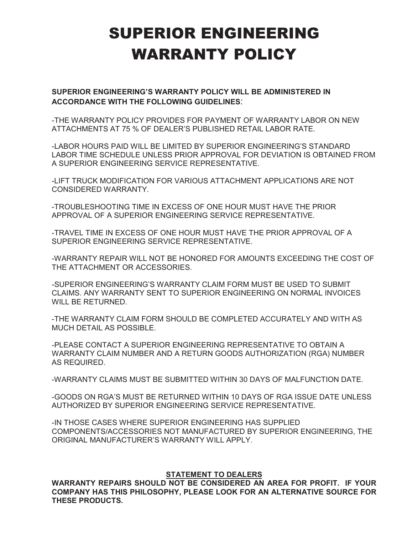# SUPERIOR ENGINEERING WARRANTY POLICY

**SUPERIOR ENGINEERING'S WARRANTY POLICY WILL BE ADMINISTERED IN ACCORDANCE WITH THE FOLLOWING GUIDELINES**:

-THE WARRANTY POLICY PROVIDES FOR PAYMENT OF WARRANTY LABOR ON NEW ATTACHMENTS AT 75 % OF DEALER'S PUBLISHED RETAIL LABOR RATE.

-LABOR HOURS PAID WILL BE LIMITED BY SUPERIOR ENGINEERING'S STANDARD LABOR TIME SCHEDULE UNLESS PRIOR APPROVAL FOR DEVIATION IS OBTAINED FROM A SUPERIOR ENGINEERING SERVICE REPRESENTATIVE.

-LIFT TRUCK MODIFICATION FOR VARIOUS ATTACHMENT APPLICATIONS ARE NOT CONSIDERED WARRANTY.

-TROUBLESHOOTING TIME IN EXCESS OF ONE HOUR MUST HAVE THE PRIOR APPROVAL OF A SUPERIOR ENGINEERING SERVICE REPRESENTATIVE.

-TRAVEL TIME IN EXCESS OF ONE HOUR MUST HAVE THE PRIOR APPROVAL OF A SUPERIOR ENGINEERING SERVICE REPRESENTATIVE.

-WARRANTY REPAIR WILL NOT BE HONORED FOR AMOUNTS EXCEEDING THE COST OF THE ATTACHMENT OR ACCESSORIES.

-SUPERIOR ENGINEERING'S WARRANTY CLAIM FORM MUST BE USED TO SUBMIT CLAIMS. ANY WARRANTY SENT TO SUPERIOR ENGINEERING ON NORMAL INVOICES WILL BE RETURNED.

-THE WARRANTY CLAIM FORM SHOULD BE COMPLETED ACCURATELY AND WITH AS MUCH DETAIL AS POSSIBLE.

-PLEASE CONTACT A SUPERIOR ENGINEERING REPRESENTATIVE TO OBTAIN A WARRANTY CLAIM NUMBER AND A RETURN GOODS AUTHORIZATION (RGA) NUMBER AS REQUIRED.

-WARRANTY CLAIMS MUST BE SUBMITTED WITHIN 30 DAYS OF MALFUNCTION DATE.

-GOODS ON RGA'S MUST BE RETURNED WITHIN 10 DAYS OF RGA ISSUE DATE UNLESS AUTHORIZED BY SUPERIOR ENGINEERING SERVICE REPRESENTATIVE.

-IN THOSE CASES WHERE SUPERIOR ENGINEERING HAS SUPPLIED COMPONENTS/ACCESSORIES NOT MANUFACTURED BY SUPERIOR ENGINEERING, THE ORIGINAL MANUFACTURER'S WARRANTY WILL APPLY.

#### **STATEMENT TO DEALERS**

**WARRANTY REPAIRS SHOULD NOT BE CONSIDERED AN AREA FOR PROFIT. IF YOUR COMPANY HAS THIS PHILOSOPHY, PLEASE LOOK FOR AN ALTERNATIVE SOURCE FOR THESE PRODUCTS.**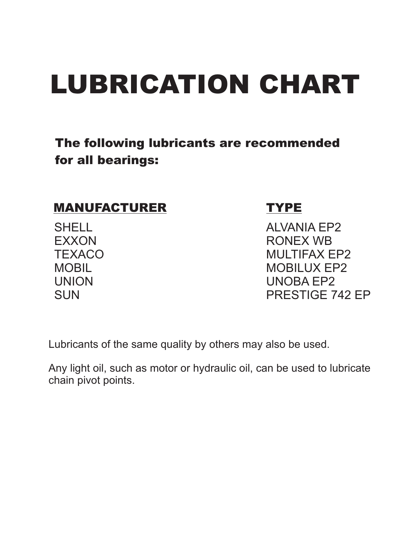# LUBRICATION CHART

#### The following lubricants are recommended for all bearings:

#### MANUFACTURER TYPE

**SHELL** EXXON **TEXACO MOBIL** UNION **SUN** 

ALVANIA EP2 RONEX WB MULTIFAX EP2 MOBILUX EP2 UNOBA EP2 PRESTIGE 742 EP

Lubricants of the same quality by others may also be used.

Any light oil, such as motor or hydraulic oil, can be used to lubricate chain pivot points.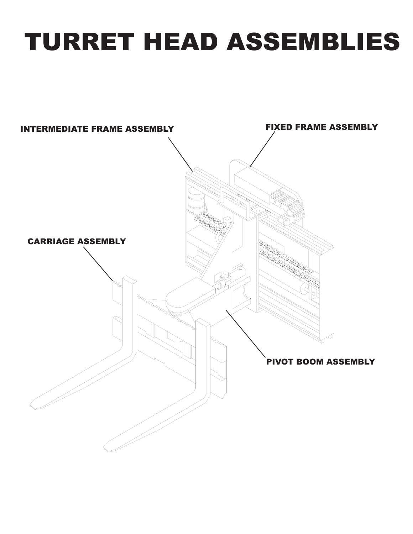# TURRET HEAD ASSEMBLIES

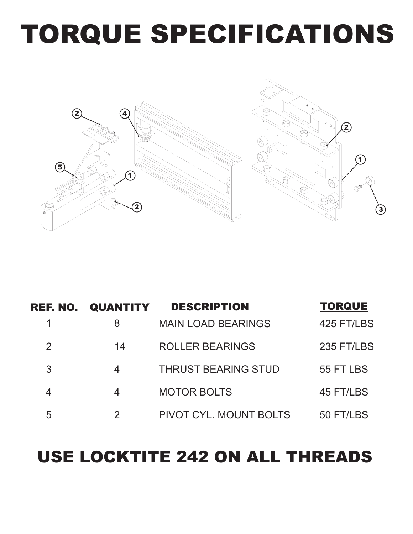# TORQUE SPECIFICATIONS



|   | <b>REF. NO. QUANTITY</b> | <b>DESCRIPTION</b>         | <b>TORQUE</b> |
|---|--------------------------|----------------------------|---------------|
|   | 8                        | <b>MAIN LOAD BEARINGS</b>  | 425 FT/LBS    |
|   | 14                       | <b>ROLLER BEARINGS</b>     | 235 FT/LBS    |
| 3 | 4                        | <b>THRUST BEARING STUD</b> | 55 FT LBS     |
|   | 4                        | <b>MOTOR BOLTS</b>         | 45 FT/LBS     |
| 5 | 2                        | PIVOT CYL. MOUNT BOLTS     | 50 FT/LBS     |

# USE LOCKTITE 242 ON ALL THREADS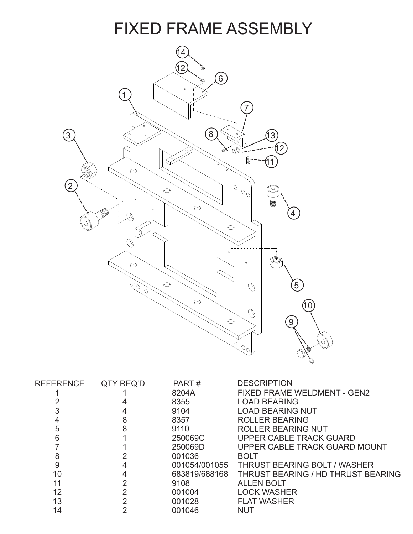

| <b>REFERENCE</b> | QTY REQ'D | PART#         | <b>DESCRIPTION</b>                        |
|------------------|-----------|---------------|-------------------------------------------|
|                  |           | 8204A         | <b>FIXED FRAME WELDMENT - GEN2</b>        |
|                  |           | 8355          | <b>LOAD BEARING</b>                       |
|                  |           | 9104          | <b>LOAD BEARING NUT</b>                   |
|                  | 8         | 8357          | <b>ROLLER BEARING</b>                     |
| 5                | 8         | 9110          | <b>ROLLER BEARING NUT</b>                 |
| 6                |           | 250069C       | UPPER CABLE TRACK GUARD                   |
|                  |           | 250069D       | UPPER CABLE TRACK GUARD MOUNT             |
| 8                |           | 001036        | <b>BOLT</b>                               |
| 9                |           | 001054/001055 | <b>THRUST BEARING BOLT / WASHER</b>       |
| 10               |           | 683819/688168 | <b>THRUST BEARING / HD THRUST BEARING</b> |
| 11               | っ         | 9108          | <b>ALLEN BOLT</b>                         |
| 12               |           | 001004        | <b>LOCK WASHER</b>                        |
| 13               | 2         | 001028        | <b>FLAT WASHER</b>                        |
| 14               |           | 001046        | NUT                                       |
|                  |           |               |                                           |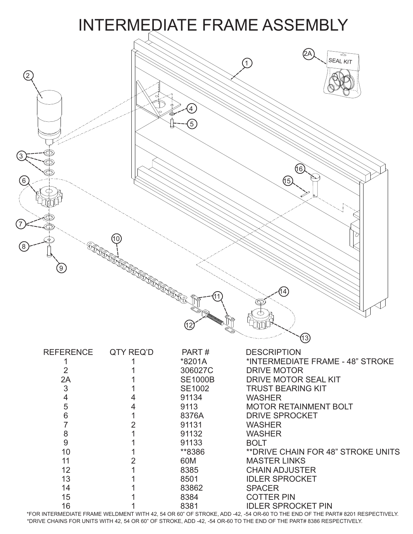

IEDIATE FRAME WELDMENT WITH 42, 54 OR 60" OF STROKE, ADD -42, -54 OR-60 TO THE END OF THE PA \*FOR INTERMEDIATE FRAME WELDMENT WITH 42, 54 OR 60" OF STROKE, ADD -42, -54 OR-60 TO THE END OF THE PART# 8201 RESPECTIVELY. \*DRIVE CHAINS FOR UNITS WITH 42, 54 OR 60" OF STROKE, ADD -42, -54 OR-60 TO THE END OF THE PART# 8386 RESPECTIVELY.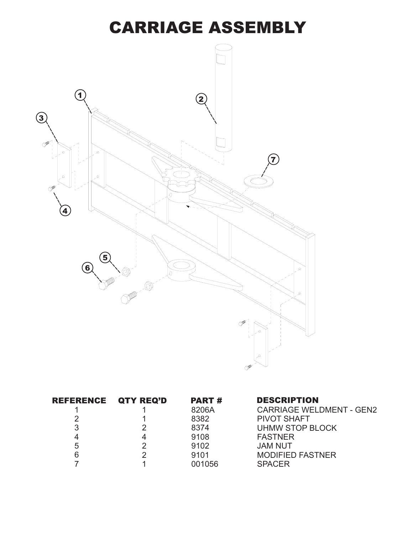### CARRIAGE ASSEMBLY



| REFERENCE QTY REQ'D | <b>PART#</b> | <b>DESCRIPTION</b>              |
|---------------------|--------------|---------------------------------|
|                     | 8206A        | <b>CARRIAGE WELDMENT - GEN2</b> |
|                     | 8382         | <b>PIVOT SHAFT</b>              |
| 3                   | 8374         | UHMW STOP BLOCK                 |
|                     | 9108         | <b>FASTNER</b>                  |
| 5                   | 9102         | <b>JAM NUT</b>                  |
|                     | 9101         | <b>MODIFIED FASTNER</b>         |
|                     | 001056       | <b>SPACER</b>                   |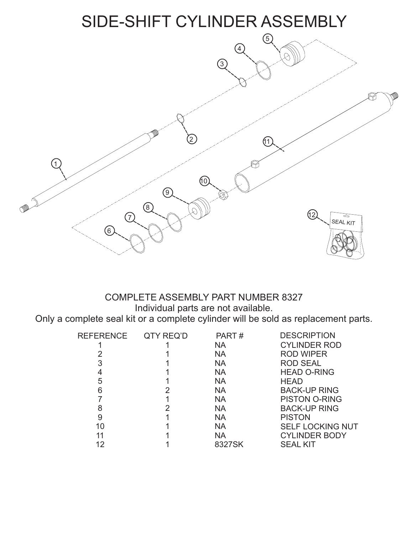### SIDE-SHIFT CYLINDER ASSEMBLY



# COMPLETE ASSEMBLY PART NUMBER 8327

In a complete cylinder will be so Only a complete seal kit or a complete cylinder will be sold as replacement parts.

| <b>REFERENCE</b> | QTY REQ'D | PART#     | <b>DESCRIPTION</b>      |
|------------------|-----------|-----------|-------------------------|
|                  |           | <b>NA</b> | <b>CYLINDER ROD</b>     |
|                  |           | <b>NA</b> | <b>ROD WIPER</b>        |
| 3                |           | <b>NA</b> | <b>ROD SEAL</b>         |
| 4                |           | <b>NA</b> | <b>HEAD O-RING</b>      |
| 5                |           | <b>NA</b> | <b>HEAD</b>             |
| 6                |           | <b>NA</b> | <b>BACK-UP RING</b>     |
|                  |           | <b>NA</b> | <b>PISTON O-RING</b>    |
| 8                |           | <b>NA</b> | <b>BACK-UP RING</b>     |
| 9                |           | <b>NA</b> | <b>PISTON</b>           |
| 10               |           | <b>NA</b> | <b>SELF LOCKING NUT</b> |
| 11               |           | <b>NA</b> | <b>CYLINDER BODY</b>    |
| 12               |           | 8327SK    | <b>SEAL KIT</b>         |
|                  |           |           |                         |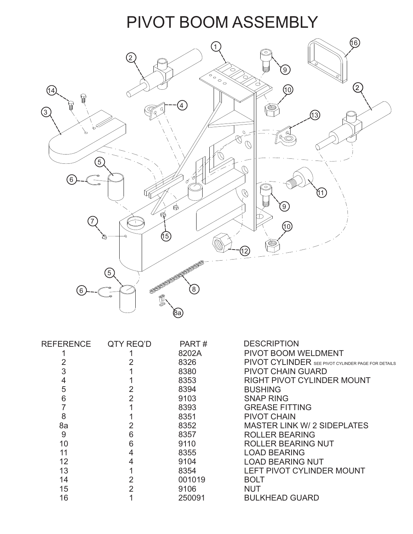# PIVOT BOOM ASSEMBLY



| <b>REFERENCE</b> | QTY REQ'D | PART#  | <b>DESCRIPTION</b>                                 |
|------------------|-----------|--------|----------------------------------------------------|
|                  |           | 8202A  | <b>PIVOT BOOM WELDMENT</b>                         |
|                  |           | 8326   | PIVOT CYLINDER SEE PIVOT CYLINDER PAGE FOR DETAILS |
|                  |           | 8380   | <b>PIVOT CHAIN GUARD</b>                           |
| 4                |           | 8353   | <b>RIGHT PIVOT CYLINDER MOUNT</b>                  |
| 5                |           | 8394   | <b>BUSHING</b>                                     |
| 6                | 2         | 9103   | <b>SNAP RING</b>                                   |
|                  |           | 8393   | <b>GREASE FITTING</b>                              |
| 8                |           | 8351   | <b>PIVOT CHAIN</b>                                 |
| 8a               |           | 8352   | <b>MASTER LINK W/ 2 SIDEPLATES</b>                 |
| 9                | 6         | 8357   | <b>ROLLER BEARING</b>                              |
| 10               | 6         | 9110   | <b>ROLLER BEARING NUT</b>                          |
| 11               | 4         | 8355   | <b>LOAD BEARING</b>                                |
| 12               |           | 9104   | <b>LOAD BEARING NUT</b>                            |
| 13               |           | 8354   | <b>LEFT PIVOT CYLINDER MOUNT</b>                   |
| 14               |           | 001019 | <b>BOLT</b>                                        |
| 15               |           | 9106   | <b>NUT</b>                                         |
| 16               |           | 250091 | <b>BULKHEAD GUARD</b>                              |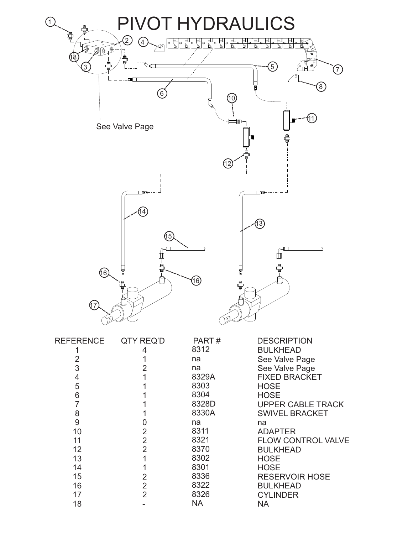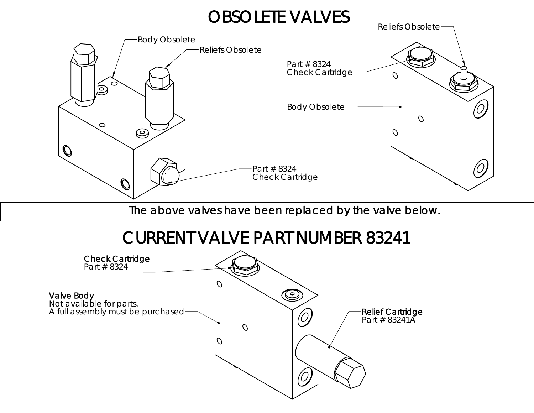### OBSOLETE VALVES



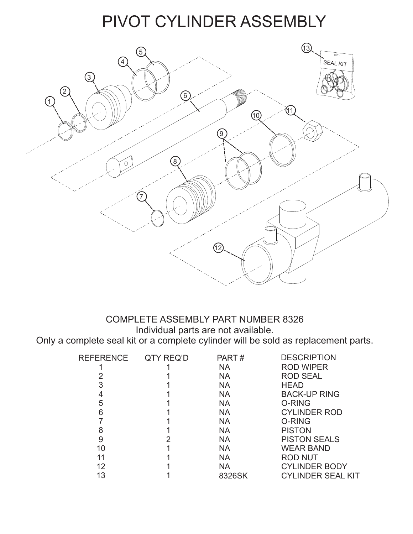### PIVOT CYLINDER ASSEMBLY



# COMPLETE ASSEMBLY PART NUMBER 8326

In a complete cylinder will be so Only a complete seal kit or a complete cylinder will be sold as replacement parts.

| QTY REQ'D | PART#     | <b>DESCRIPTION</b>       |
|-----------|-----------|--------------------------|
|           | <b>NA</b> | <b>ROD WIPER</b>         |
|           | <b>NA</b> | <b>ROD SEAL</b>          |
|           | <b>NA</b> | <b>HEAD</b>              |
|           | <b>NA</b> | <b>BACK-UP RING</b>      |
|           | <b>NA</b> | O-RING                   |
|           | <b>NA</b> | <b>CYLINDER ROD</b>      |
|           | <b>NA</b> | O-RING                   |
|           | <b>NA</b> | <b>PISTON</b>            |
|           | <b>NA</b> | <b>PISTON SEALS</b>      |
|           | <b>NA</b> | <b>WEAR BAND</b>         |
|           | <b>NA</b> | <b>ROD NUT</b>           |
|           | <b>NA</b> | <b>CYLINDER BODY</b>     |
|           | 8326SK    | <b>CYLINDER SEAL KIT</b> |
|           |           |                          |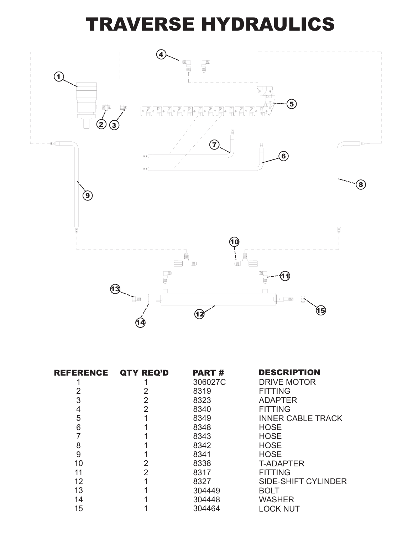# TRAVERSE HYDRAULICS



| REFERENCE | QTY REQ'D      | <b>PART#</b> | <b>DESCRIPTION</b>         |
|-----------|----------------|--------------|----------------------------|
|           |                | 306027C      | <b>DRIVE MOTOR</b>         |
| 2         | 2              | 8319         | <b>FITTING</b>             |
| 3         | 2              | 8323         | <b>ADAPTER</b>             |
| 4         | $\overline{2}$ | 8340         | <b>FITTING</b>             |
| 5         |                | 8349         | <b>INNER CABLE TRACK</b>   |
| 6         |                | 8348         | <b>HOSE</b>                |
|           |                | 8343         | <b>HOSE</b>                |
| 8         |                | 8342         | <b>HOSE</b>                |
| 9         |                | 8341         | <b>HOSE</b>                |
| 10        | 2              | 8338         | <b>T-ADAPTER</b>           |
| 11        | $\overline{2}$ | 8317         | <b>FITTING</b>             |
| 12        |                | 8327         | <b>SIDE-SHIFT CYLINDER</b> |
| 13        |                | 304449       | <b>BOLT</b>                |
| 14        |                | 304448       | <b>WASHER</b>              |
| 15        |                | 304464       | <b>LOCK NUT</b>            |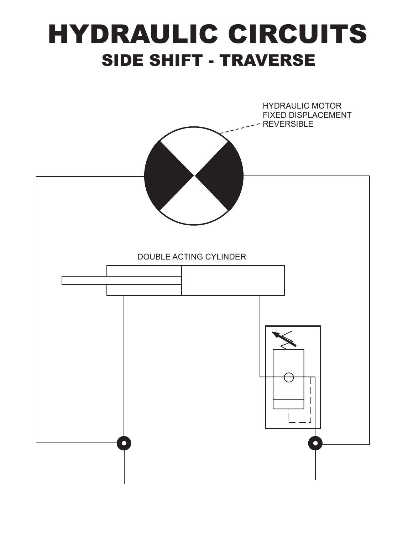# HYDRAULIC CIRCUITS SIDE SHIFT - TRAVERSE

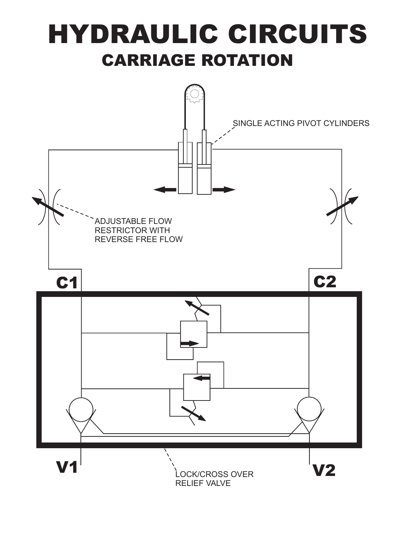# HYDRAULIC CIRCUITS CARRIAGE ROTATION

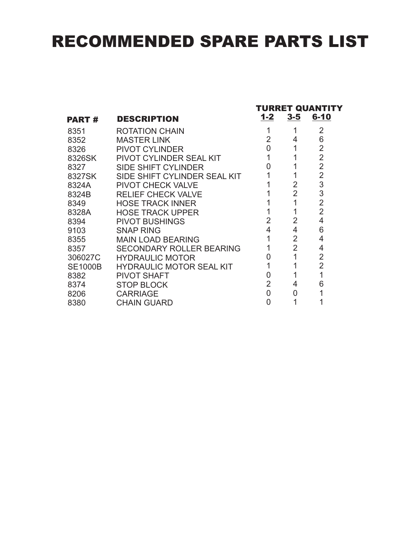# RECOMMENDED SPARE PARTS LIST

|                |                                 | TURRET QUANTITY |                |                |  |
|----------------|---------------------------------|-----------------|----------------|----------------|--|
| <b>PART#</b>   | <b>DESCRIPTION</b>              | $1 - 2$         | $3-5$          | $6 - 10$       |  |
| 8351           | <b>ROTATION CHAIN</b>           |                 |                | 2              |  |
| 8352           | MASTER LINK                     | $\overline{2}$  | 4              | 6              |  |
| 8326           | <b>PIVOT CYLINDER</b>           | 0               | 1              | 2              |  |
| 8326SK         | PIVOT CYLINDER SEAL KIT         | 1               |                | $\overline{2}$ |  |
| 8327           | <b>SIDE SHIFT CYLINDER</b>      | U               |                | $\overline{2}$ |  |
| 8327SK         | SIDE SHIFT CYLINDER SEAL KIT    |                 |                | $\overline{2}$ |  |
| 8324A          | <b>PIVOT CHECK VALVE</b>        |                 | 2              | 3              |  |
| 8324B          | <b>RELIEF CHECK VALVE</b>       |                 | $\overline{2}$ | 3              |  |
| 8349           | <b>HOSE TRACK INNER</b>         |                 | 1              | $\overline{2}$ |  |
| 8328A          | <b>HOSE TRACK UPPER</b>         |                 |                | $\overline{2}$ |  |
| 8394           | <b>PIVOT BUSHINGS</b>           | $\overline{2}$  | $\overline{2}$ | 4              |  |
| 9103           | <b>SNAP RING</b>                | 4               | 4              | 6              |  |
| 8355           | <b>MAIN LOAD BEARING</b>        |                 | 2              | 4              |  |
| 8357           | <b>SECONDARY ROLLER BEARING</b> |                 | $\overline{2}$ | 4              |  |
| 306027C        | <b>HYDRAULIC MOTOR</b>          |                 |                | 2              |  |
| <b>SE1000B</b> | <b>HYDRAULIC MOTOR SEAL KIT</b> |                 |                | $\overline{2}$ |  |
| 8382           | <b>PIVOT SHAFT</b>              | O               |                |                |  |
| 8374           | <b>STOP BLOCK</b>               | $\overline{2}$  | 4              | 6              |  |
| 8206           | <b>CARRIAGE</b>                 | 0               | 0              |                |  |
| 8380           | <b>CHAIN GUARD</b>              | 0               |                |                |  |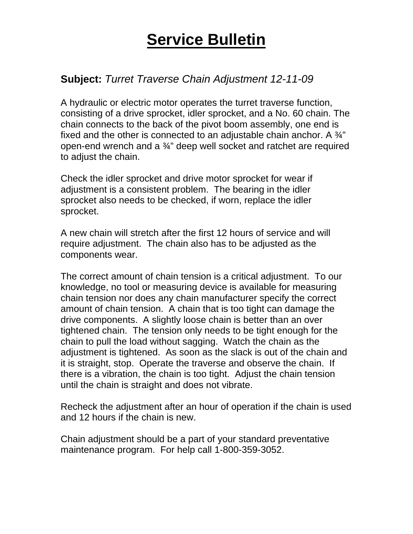#### **Subject:** *Turret Traverse Chain Adjustment 12-11-09*

A hydraulic or electric motor operates the turret traverse function, consisting of a drive sprocket, idler sprocket, and a No. 60 chain. The chain connects to the back of the pivot boom assembly, one end is fixed and the other is connected to an adjustable chain anchor. A  $\frac{3}{4}$ " open-end wrench and a ¾" deep well socket and ratchet are required to adjust the chain.

Check the idler sprocket and drive motor sprocket for wear if adjustment is a consistent problem. The bearing in the idler sprocket also needs to be checked, if worn, replace the idler sprocket.

A new chain will stretch after the first 12 hours of service and will require adjustment. The chain also has to be adjusted as the components wear.

The correct amount of chain tension is a critical adjustment. To our knowledge, no tool or measuring device is available for measuring chain tension nor does any chain manufacturer specify the correct amount of chain tension. A chain that is too tight can damage the drive components. A slightly loose chain is better than an over tightened chain. The tension only needs to be tight enough for the chain to pull the load without sagging. Watch the chain as the adjustment is tightened. As soon as the slack is out of the chain and it is straight, stop. Operate the traverse and observe the chain. If there is a vibration, the chain is too tight. Adjust the chain tension until the chain is straight and does not vibrate.

Recheck the adjustment after an hour of operation if the chain is used and 12 hours if the chain is new.

Chain adjustment should be a part of your standard preventative maintenance program. For help call 1-800-359-3052.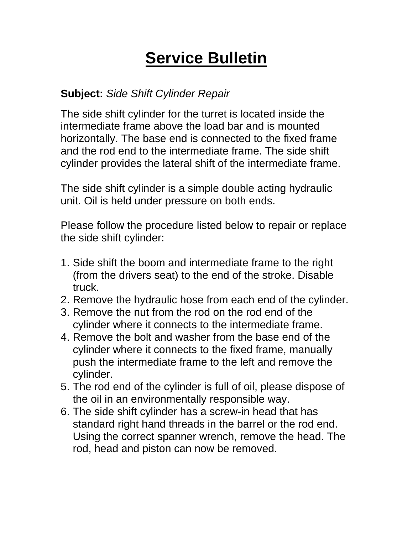#### **Subject:** *Side Shift Cylinder Repair*

The side shift cylinder for the turret is located inside the intermediate frame above the load bar and is mounted horizontally. The base end is connected to the fixed frame and the rod end to the intermediate frame. The side shift cylinder provides the lateral shift of the intermediate frame.

The side shift cylinder is a simple double acting hydraulic unit. Oil is held under pressure on both ends.

Please follow the procedure listed below to repair or replace the side shift cylinder:

- 1. Side shift the boom and intermediate frame to the right (from the drivers seat) to the end of the stroke. Disable truck.
- 2. Remove the hydraulic hose from each end of the cylinder.
- 3. Remove the nut from the rod on the rod end of the cylinder where it connects to the intermediate frame.
- 4. Remove the bolt and washer from the base end of the cylinder where it connects to the fixed frame, manually push the intermediate frame to the left and remove the cylinder.
- 5. The rod end of the cylinder is full of oil, please dispose of the oil in an environmentally responsible way.
- 6. The side shift cylinder has a screw-in head that has standard right hand threads in the barrel or the rod end. Using the correct spanner wrench, remove the head. The rod, head and piston can now be removed.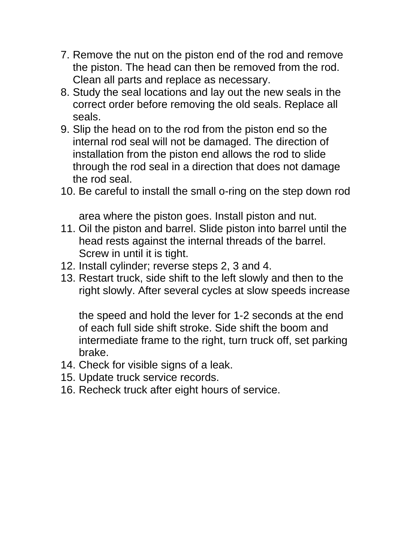- 7. Remove the nut on the piston end of the rod and remove the piston. The head can then be removed from the rod. Clean all parts and replace as necessary.
- 8. Study the seal locations and lay out the new seals in the correct order before removing the old seals. Replace all seals.
- 9. Slip the head on to the rod from the piston end so the internal rod seal will not be damaged. The direction of installation from the piston end allows the rod to slide through the rod seal in a direction that does not damage the rod seal.
- 10. Be careful to install the small o-ring on the step down rod

area where the piston goes. Install piston and nut.

- 11. Oil the piston and barrel. Slide piston into barrel until the head rests against the internal threads of the barrel. Screw in until it is tight.
- 12. Install cylinder; reverse steps 2, 3 and 4.
- 13.Restart truck, side shift to the left slowly and then to the right slowly. After several cycles at slow speeds increase

the speed and hold the lever for 1-2 seconds at the end of each full side shift stroke. Side shift the boom and intermediate frame to the right, turn truck off, set parking brake.

- 14.Check for visible signs of a leak.
- 15.Update truck service records.
- 16. Recheck truck after eight hours of service.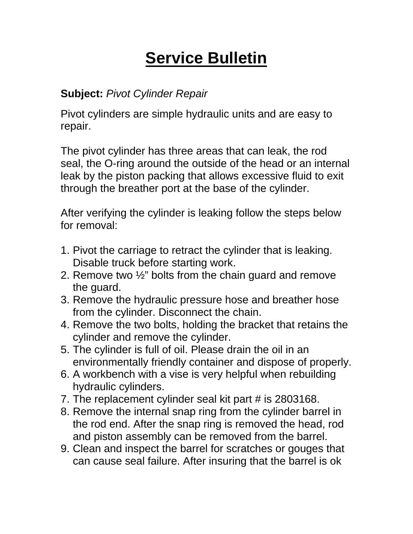#### **Subject:** *Pivot Cylinder Repair*

Pivot cylinders are simple hydraulic units and are easy to repair.

The pivot cylinder has three areas that can leak, the rod seal, the O-ring around the outside of the head or an internal leak by the piston packing that allows excessive fluid to exit through the breather port at the base of the cylinder.

After verifying the cylinder is leaking follow the steps below for removal:

- 1. Pivot the carriage to retract the cylinder that is leaking. Disable truck before starting work.
- 2. Remove two ½" bolts from the chain guard and remove the guard.
- 3. Remove the hydraulic pressure hose and breather hose from the cylinder. Disconnect the chain.
- 4. Remove the two bolts, holding the bracket that retains the cylinder and remove the cylinder.
- 5. The cylinder is full of oil. Please drain the oil in an environmentally friendly container and dispose of properly.
- 6. A workbench with a vise is very helpful when rebuilding hydraulic cylinders.
- 7. The replacement cylinder seal kit part # is 2803168.
- 8. Remove the internal snap ring from the cylinder barrel in the rod end. After the snap ring is removed the head, rod and piston assembly can be removed from the barrel.
- 9. Clean and inspect the barrel for scratches or gouges that can cause seal failure. After insuring that the barrel is ok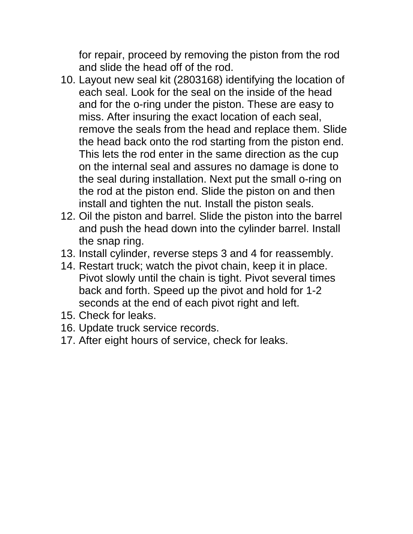for repair, proceed by removing the piston from the rod and slide the head off of the rod.

- 10. Layout new seal kit (2803168) identifying the location of each seal. Look for the seal on the inside of the head and for the o-ring under the piston. These are easy to miss. After insuring the exact location of each seal, remove the seals from the head and replace them. Slide the head back onto the rod starting from the piston end. This lets the rod enter in the same direction as the cup on the internal seal and assures no damage is done to the seal during installation. Next put the small o-ring on the rod at the piston end. Slide the piston on and then install and tighten the nut. Install the piston seals.
- 12. Oil the piston and barrel. Slide the piston into the barrel and push the head down into the cylinder barrel. Install the snap ring.
- 13. Install cylinder, reverse steps 3 and 4 for reassembly.
- 14.Restart truck; watch the pivot chain, keep it in place. Pivot slowly until the chain is tight. Pivot several times back and forth. Speed up the pivot and hold for 1-2 seconds at the end of each pivot right and left.
- 15.Check for leaks.
- 16.Update truck service records.
- 17.After eight hours of service, check for leaks.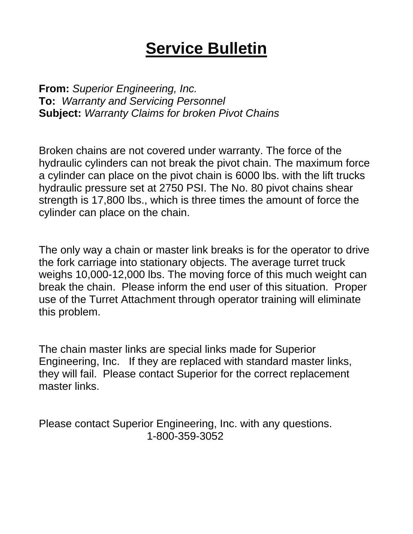**From:** *Superior Engineering, Inc.* **To:** *Warranty and Servicing Personnel* **Subject:** *Warranty Claims for broken Pivot Chains*

Broken chains are not covered under warranty. The force of the hydraulic cylinders can not break the pivot chain. The maximum force a cylinder can place on the pivot chain is 6000 lbs. with the lift trucks hydraulic pressure set at 2750 PSI. The No. 80 pivot chains shear strength is 17,800 lbs., which is three times the amount of force the cylinder can place on the chain.

The only way a chain or master link breaks is for the operator to drive the fork carriage into stationary objects. The average turret truck weighs 10,000-12,000 lbs. The moving force of this much weight can break the chain. Please inform the end user of this situation. Proper use of the Turret Attachment through operator training will eliminate this problem.

The chain master links are special links made for Superior Engineering, Inc. If they are replaced with standard master links, they will fail. Please contact Superior for the correct replacement master links.

Please contact Superior Engineering, Inc. with any questions. 1-800-359-3052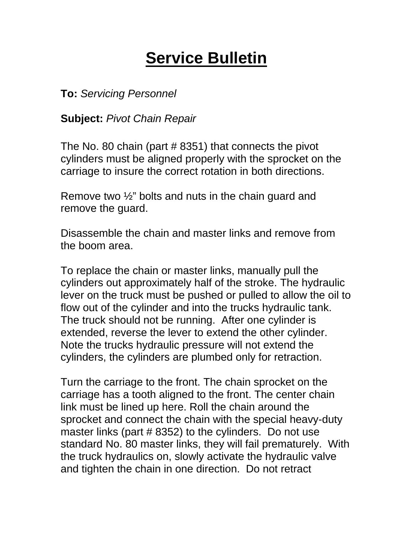**To:** *Servicing Personnel*

**Subject:** *Pivot Chain Repair*

The No. 80 chain (part # 8351) that connects the pivot cylinders must be aligned properly with the sprocket on the carriage to insure the correct rotation in both directions.

Remove two ½" bolts and nuts in the chain guard and remove the guard.

Disassemble the chain and master links and remove from the boom area.

To replace the chain or master links, manually pull the cylinders out approximately half of the stroke. The hydraulic lever on the truck must be pushed or pulled to allow the oil to flow out of the cylinder and into the trucks hydraulic tank. The truck should not be running. After one cylinder is extended, reverse the lever to extend the other cylinder. Note the trucks hydraulic pressure will not extend the cylinders, the cylinders are plumbed only for retraction.

Turn the carriage to the front. The chain sprocket on the carriage has a tooth aligned to the front. The center chain link must be lined up here. Roll the chain around the sprocket and connect the chain with the special heavy-duty master links (part # 8352) to the cylinders. Do not use standard No. 80 master links, they will fail prematurely. With the truck hydraulics on, slowly activate the hydraulic valve and tighten the chain in one direction. Do not retract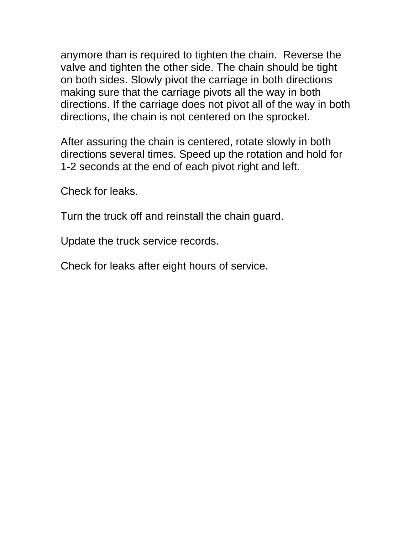anymore than is required to tighten the chain. Reverse the valve and tighten the other side. The chain should be tight on both sides. Slowly pivot the carriage in both directions making sure that the carriage pivots all the way in both directions. If the carriage does not pivot all of the way in both directions, the chain is not centered on the sprocket.

After assuring the chain is centered, rotate slowly in both directions several times. Speed up the rotation and hold for 1-2 seconds at the end of each pivot right and left.

Check for leaks.

Turn the truck off and reinstall the chain guard.

Update the truck service records.

Check for leaks after eight hours of service.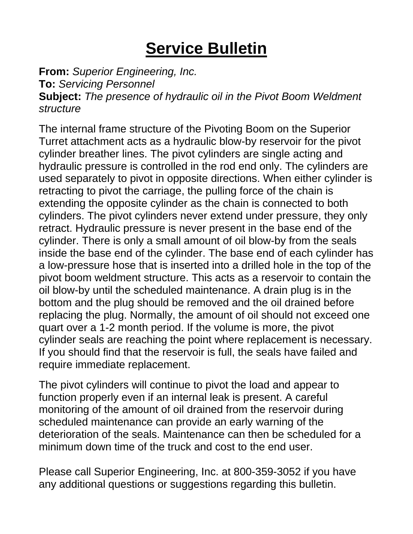**From:** *Superior Engineering, Inc.* **To:** *Servicing Personnel* **Subject:** *The presence of hydraulic oil in the Pivot Boom Weldment structure*

The internal frame structure of the Pivoting Boom on the Superior Turret attachment acts as a hydraulic blow-by reservoir for the pivot cylinder breather lines. The pivot cylinders are single acting and hydraulic pressure is controlled in the rod end only. The cylinders are used separately to pivot in opposite directions. When either cylinder is retracting to pivot the carriage, the pulling force of the chain is extending the opposite cylinder as the chain is connected to both cylinders. The pivot cylinders never extend under pressure, they only retract. Hydraulic pressure is never present in the base end of the cylinder. There is only a small amount of oil blow-by from the seals inside the base end of the cylinder. The base end of each cylinder has a low-pressure hose that is inserted into a drilled hole in the top of the pivot boom weldment structure. This acts as a reservoir to contain the oil blow-by until the scheduled maintenance. A drain plug is in the bottom and the plug should be removed and the oil drained before replacing the plug. Normally, the amount of oil should not exceed one quart over a 1-2 month period. If the volume is more, the pivot cylinder seals are reaching the point where replacement is necessary. If you should find that the reservoir is full, the seals have failed and require immediate replacement.

The pivot cylinders will continue to pivot the load and appear to function properly even if an internal leak is present. A careful monitoring of the amount of oil drained from the reservoir during scheduled maintenance can provide an early warning of the deterioration of the seals. Maintenance can then be scheduled for a minimum down time of the truck and cost to the end user.

Please call Superior Engineering, Inc. at 800-359-3052 if you have any additional questions or suggestions regarding this bulletin.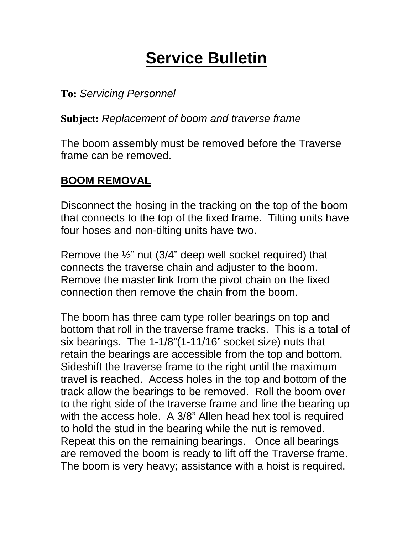**To:** *Servicing Personnel*

**Subject:** *Replacement of boom and traverse frame*

The boom assembly must be removed before the Traverse frame can be removed.

#### **BOOM REMOVAL**

Disconnect the hosing in the tracking on the top of the boom that connects to the top of the fixed frame. Tilting units have four hoses and non-tilting units have two.

Remove the ½" nut (3/4" deep well socket required) that connects the traverse chain and adjuster to the boom. Remove the master link from the pivot chain on the fixed connection then remove the chain from the boom.

The boom has three cam type roller bearings on top and bottom that roll in the traverse frame tracks. This is a total of six bearings. The 1-1/8"(1-11/16" socket size) nuts that retain the bearings are accessible from the top and bottom. Sideshift the traverse frame to the right until the maximum travel is reached. Access holes in the top and bottom of the track allow the bearings to be removed. Roll the boom over to the right side of the traverse frame and line the bearing up with the access hole. A 3/8" Allen head hex tool is required to hold the stud in the bearing while the nut is removed. Repeat this on the remaining bearings. Once all bearings are removed the boom is ready to lift off the Traverse frame. The boom is very heavy; assistance with a hoist is required.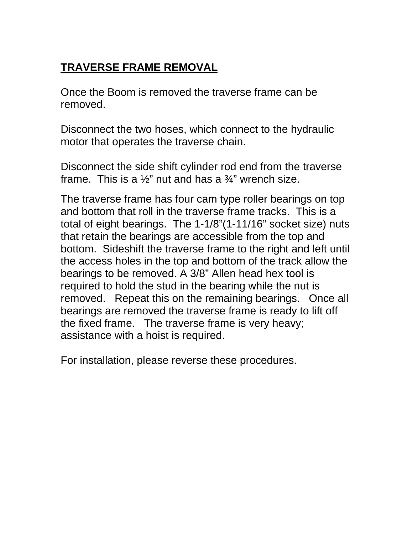#### **TRAVERSE FRAME REMOVAL**

Once the Boom is removed the traverse frame can be removed.

Disconnect the two hoses, which connect to the hydraulic motor that operates the traverse chain.

Disconnect the side shift cylinder rod end from the traverse frame. This is a  $\frac{1}{2}$ " nut and has a  $\frac{3}{4}$ " wrench size.

The traverse frame has four cam type roller bearings on top and bottom that roll in the traverse frame tracks. This is a total of eight bearings. The 1-1/8"(1-11/16" socket size) nuts that retain the bearings are accessible from the top and bottom. Sideshift the traverse frame to the right and left until the access holes in the top and bottom of the track allow the bearings to be removed. A 3/8" Allen head hex tool is required to hold the stud in the bearing while the nut is removed. Repeat this on the remaining bearings. Once all bearings are removed the traverse frame is ready to lift off the fixed frame. The traverse frame is very heavy; assistance with a hoist is required.

For installation, please reverse these procedures.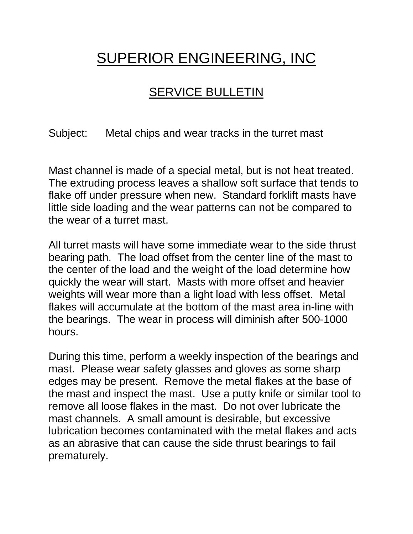### SUPERIOR ENGINEERING, INC

#### SERVICE BULLETIN

Subject: Metal chips and wear tracks in the turret mast

Mast channel is made of a special metal, but is not heat treated. The extruding process leaves a shallow soft surface that tends to flake off under pressure when new. Standard forklift masts have little side loading and the wear patterns can not be compared to the wear of a turret mast.

All turret masts will have some immediate wear to the side thrust bearing path. The load offset from the center line of the mast to the center of the load and the weight of the load determine how quickly the wear will start. Masts with more offset and heavier weights will wear more than a light load with less offset. Metal flakes will accumulate at the bottom of the mast area in-line with the bearings. The wear in process will diminish after 500-1000 hours.

During this time, perform a weekly inspection of the bearings and mast. Please wear safety glasses and gloves as some sharp edges may be present. Remove the metal flakes at the base of the mast and inspect the mast. Use a putty knife or similar tool to remove all loose flakes in the mast. Do not over lubricate the mast channels. A small amount is desirable, but excessive lubrication becomes contaminated with the metal flakes and acts as an abrasive that can cause the side thrust bearings to fail prematurely.